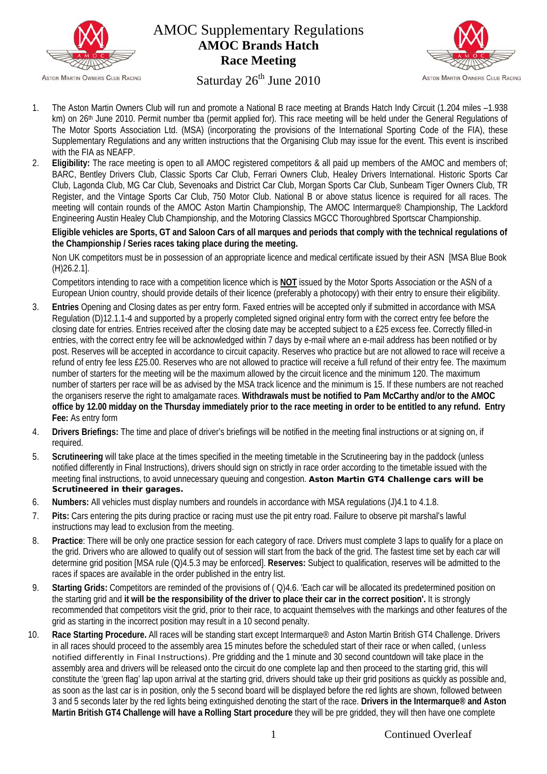

# AMOC Supplementary Regulations **AMOC Brands Hatch Race Meeting**



# Saturday  $26<sup>th</sup>$  June 2010

- 1. The Aston Martin Owners Club will run and promote a National B race meeting at Brands Hatch Indy Circuit (1.204 miles –1.938 km) on 26<sup>th</sup> June 2010. Permit number tba (permit applied for). This race meeting will be held under the General Regulations of The Motor Sports Association Ltd. (MSA) (incorporating the provisions of the International Sporting Code of the FIA), these Supplementary Regulations and any written instructions that the Organising Club may issue for the event. This event is inscribed with the FIA as NEAFP.
- 2. **Eligibility:** The race meeting is open to all AMOC registered competitors & all paid up members of the AMOC and members of; BARC, Bentley Drivers Club, Classic Sports Car Club, Ferrari Owners Club, Healey Drivers International. Historic Sports Car Club, Lagonda Club, MG Car Club, Sevenoaks and District Car Club, Morgan Sports Car Club, Sunbeam Tiger Owners Club, TR Register, and the Vintage Sports Car Club, 750 Motor Club. National B or above status licence is required for all races. The meeting will contain rounds of the AMOC Aston Martin Championship, The AMOC Intermarque® Championship, The Lackford Engineering Austin Healey Club Championship, and the Motoring Classics MGCC Thoroughbred Sportscar Championship.

**Eligible vehicles are Sports, GT and Saloon Cars of all marques and periods that comply with the technical regulations of the Championship / Series races taking place during the meeting.**

Non UK competitors must be in possession of an appropriate licence and medical certificate issued by their ASN [MSA Blue Book (H)26.2.1].

Competitors intending to race with a competition licence which is **NOT** issued by the Motor Sports Association or the ASN of a European Union country, should provide details of their licence (preferably a photocopy) with their entry to ensure their eligibility.

- 3. **Entries** Opening and Closing dates as per entry form. Faxed entries will be accepted only if submitted in accordance with MSA Regulation (D)12.1.1-4 and supported by a properly completed signed original entry form with the correct entry fee before the closing date for entries. Entries received after the closing date may be accepted subject to a £25 excess fee. Correctly filled-in entries, with the correct entry fee will be acknowledged within 7 days by e-mail where an e-mail address has been notified or by post. Reserves will be accepted in accordance to circuit capacity. Reserves who practice but are not allowed to race will receive a refund of entry fee less £25.00. Reserves who are not allowed to practice will receive a full refund of their entry fee. The maximum number of starters for the meeting will be the maximum allowed by the circuit licence and the minimum 120. The maximum number of starters per race will be as advised by the MSA track licence and the minimum is 15. If these numbers are not reached the organisers reserve the right to amalgamate races. **Withdrawals must be notified to Pam McCarthy and/or to the AMOC office by 12.00 midday on the Thursday immediately prior to the race meeting in order to be entitled to any refund. Entry Fee:** As entry form
- 4. **Drivers Briefings:** The time and place of driver's briefings will be notified in the meeting final instructions or at signing on, if required.
- 5. **Scrutineering** will take place at the times specified in the meeting timetable in the Scrutineering bay in the paddock (unless notified differently in Final Instructions), drivers should sign on strictly in race order according to the timetable issued with the meeting final instructions, to avoid unnecessary queuing and congestion. **Aston Martin GT4 Challenge cars will be Scrutineered in their garages.**
- 6. **Numbers:** All vehicles must display numbers and roundels in accordance with MSA regulations (J)4.1 to 4.1.8.
- 7. **Pits:** Cars entering the pits during practice or racing must use the pit entry road. Failure to observe pit marshal's lawful instructions may lead to exclusion from the meeting.
- 8. **Practice**: There will be only one practice session for each category of race. Drivers must complete 3 laps to qualify for a place on the grid. Drivers who are allowed to qualify out of session will start from the back of the grid. The fastest time set by each car will determine grid position [MSA rule (Q)4.5.3 may be enforced]. **Reserves:** Subject to qualification, reserves will be admitted to the races if spaces are available in the order published in the entry list.
- 9. **Starting Grids:** Competitors are reminded of the provisions of ( Q)4.6. 'Each car will be allocated its predetermined position on the starting grid and **it will be the responsibility of the driver to place their car in the correct position'.** It is strongly recommended that competitors visit the grid, prior to their race, to acquaint themselves with the markings and other features of the grid as starting in the incorrect position may result in a 10 second penalty.
- 10. **Race Starting Procedure.** All races will be standing start except Intermarque® and Aston Martin British GT4 Challenge. Drivers in all races should proceed to the assembly area 15 minutes before the scheduled start of their race or when called, (unless notified differently in Final Instructions). Pre gridding and the 1 minute and 30 second countdown will take place in the assembly area and drivers will be released onto the circuit do one complete lap and then proceed to the starting grid, this will constitute the 'green flag' lap upon arrival at the starting grid, drivers should take up their grid positions as quickly as possible and, as soon as the last car is in position, only the 5 second board will be displayed before the red lights are shown, followed between 3 and 5 seconds later by the red lights being extinguished denoting the start of the race. **Drivers in the Intermarque® and Aston Martin British GT4 Challenge will have a Rolling Start procedure** they will be pre gridded, they will then have one complete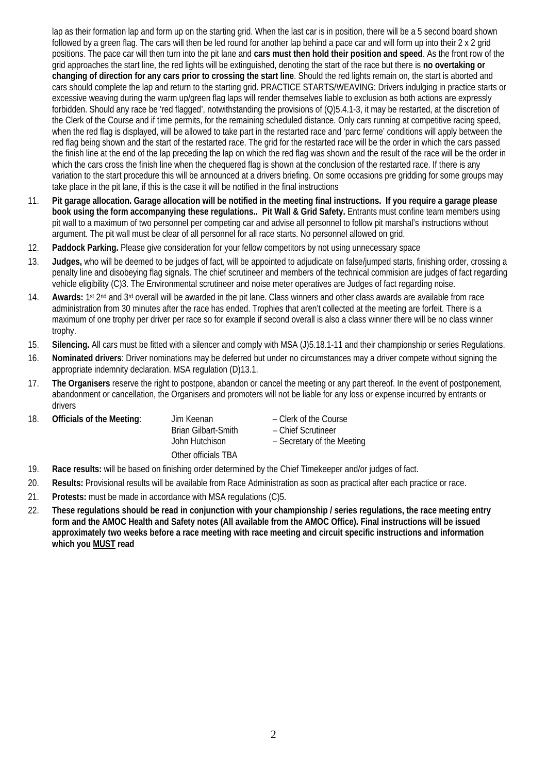lap as their formation lap and form up on the starting grid. When the last car is in position, there will be a 5 second board shown followed by a green flag. The cars will then be led round for another lap behind a pace car and will form up into their 2 x 2 grid positions. The pace car will then turn into the pit lane and **cars must then hold their position and speed**. As the front row of the grid approaches the start line, the red lights will be extinguished, denoting the start of the race but there is **no overtaking or changing of direction for any cars prior to crossing the start line**. Should the red lights remain on, the start is aborted and cars should complete the lap and return to the starting grid. PRACTICE STARTS/WEAVING: Drivers indulging in practice starts or excessive weaving during the warm up/green flag laps will render themselves liable to exclusion as both actions are expressly forbidden. Should any race be 'red flagged', notwithstanding the provisions of (Q)5.4.1-3, it may be restarted, at the discretion of the Clerk of the Course and if time permits, for the remaining scheduled distance. Only cars running at competitive racing speed, when the red flag is displayed, will be allowed to take part in the restarted race and 'parc ferme' conditions will apply between the red flag being shown and the start of the restarted race. The grid for the restarted race will be the order in which the cars passed the finish line at the end of the lap preceding the lap on which the red flag was shown and the result of the race will be the order in which the cars cross the finish line when the chequered flag is shown at the conclusion of the restarted race. If there is any variation to the start procedure this will be announced at a drivers briefing. On some occasions pre gridding for some groups may take place in the pit lane, if this is the case it will be notified in the final instructions

- 11. **Pit garage allocation. Garage allocation will be notified in the meeting final instructions. If you require a garage please book using the form accompanying these regulations.. Pit Wall & Grid Safety.** Entrants must confine team members using pit wall to a maximum of two personnel per competing car and advise all personnel to follow pit marshal's instructions without argument. The pit wall must be clear of all personnel for all race starts. No personnel allowed on grid.
- 12. **Paddock Parking.** Please give consideration for your fellow competitors by not using unnecessary space
- 13. **Judges,** who will be deemed to be judges of fact, will be appointed to adjudicate on false/jumped starts, finishing order, crossing a penalty line and disobeying flag signals. The chief scrutineer and members of the technical commision are judges of fact regarding vehicle eligibility (C)3. The Environmental scrutineer and noise meter operatives are Judges of fact regarding noise.
- 14. **Awards:** 1st 2nd and 3rd overall will be awarded in the pit lane. Class winners and other class awards are available from race administration from 30 minutes after the race has ended. Trophies that aren't collected at the meeting are forfeit. There is a maximum of one trophy per driver per race so for example if second overall is also a class winner there will be no class winner trophy.
- 15. **Silencing.** All cars must be fitted with a silencer and comply with MSA (J)5.18.1-11 and their championship or series Regulations.
- 16. **Nominated drivers**: Driver nominations may be deferred but under no circumstances may a driver compete without signing the appropriate indemnity declaration. MSA regulation (D)13.1.
- 17. **The Organisers** reserve the right to postpone, abandon or cancel the meeting or any part thereof. In the event of postponement, abandonment or cancellation, the Organisers and promoters will not be liable for any loss or expense incurred by entrants or drivers

| -18. | Officials of the Meeting: | Jim Keenan<br>Brian Gilbart-Smith<br>John Hutchison | – Clerk of the Course<br>– Chief Scrutineer<br>- Secretary of the Meeting |
|------|---------------------------|-----------------------------------------------------|---------------------------------------------------------------------------|
|      |                           | Other officials TBA                                 |                                                                           |

- 19. **Race results:** will be based on finishing order determined by the Chief Timekeeper and/or judges of fact.
- 20. **Results:** Provisional results will be available from Race Administration as soon as practical after each practice or race.
- 21. **Protests:** must be made in accordance with MSA regulations (C)5.
- 22. **These regulations should be read in conjunction with your championship / series regulations, the race meeting entry form and the AMOC Health and Safety notes (All available from the AMOC Office). Final instructions will be issued approximately two weeks before a race meeting with race meeting and circuit specific instructions and information which you MUST read**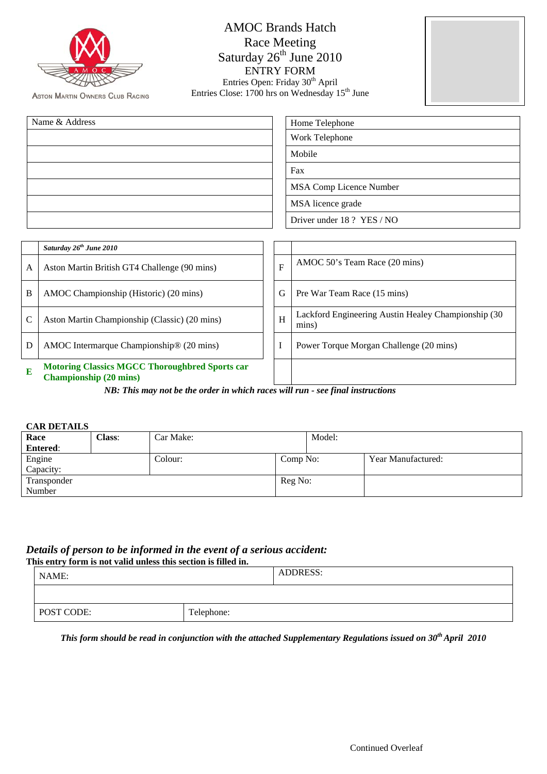**ASTON MARTIN OWNERS CLUB RACING** 

| <b>AMOC Brands Hatch</b>                                   |
|------------------------------------------------------------|
| Race Meeting                                               |
| Saturday 26 <sup>th</sup> June 2010                        |
| <b>ENTRY FORM</b>                                          |
| Entries Open: Friday 30 <sup>th</sup> April                |
| Entries Close: 1700 hrs on Wednesday 15 <sup>th</sup> June |



| Name & Address | Home Telephone             |
|----------------|----------------------------|
|                | Work Telephone             |
|                | Mobile                     |
|                | Fax                        |
|                | MSA Comp Licence Number    |
|                | MSA licence grade          |
|                | Driver under 18 ? YES / NO |

|   | Saturday 26 <sup>th</sup> June 2010                                                    |   |                                                              |
|---|----------------------------------------------------------------------------------------|---|--------------------------------------------------------------|
| A | Aston Martin British GT4 Challenge (90 mins)                                           | F | AMOC 50's Team Race (20 mins)                                |
| B | AMOC Championship (Historic) (20 mins)                                                 | G | Pre War Team Race (15 mins)                                  |
| C | Aston Martin Championship (Classic) (20 mins)                                          | H | Lackford Engineering Austin Healey Championship (30<br>mins) |
| D | AMOC Intermarque Championship® (20 mins)                                               |   | Power Torque Morgan Challenge (20 mins)                      |
| E | <b>Motoring Classics MGCC Thoroughbred Sports car</b><br><b>Championship (20 mins)</b> |   |                                                              |

*NB: This may not be the order in which races will run - see final instructions*

#### **CAR DETAILS**

| Race            | Class: | Car Make: |          | Model: |                    |
|-----------------|--------|-----------|----------|--------|--------------------|
| <b>Entered:</b> |        |           |          |        |                    |
| Engine          |        | Colour:   | Comp No: |        | Year Manufactured: |
| Capacity:       |        |           |          |        |                    |
| Transponder     |        |           | Reg No:  |        |                    |
| Number          |        |           |          |        |                    |

## *Details of person to be informed in the event of a serious accident:*

| This entry form is not valid unless this section is filled in. |  |  |          |
|----------------------------------------------------------------|--|--|----------|
| NAME:                                                          |  |  | ADDRESS: |
|                                                                |  |  |          |
| POST CODE:<br>Telephone:                                       |  |  |          |

*This form should be read in conjunction with the attached Supplementary Regulations issued on 30<sup>th</sup> April 2010*